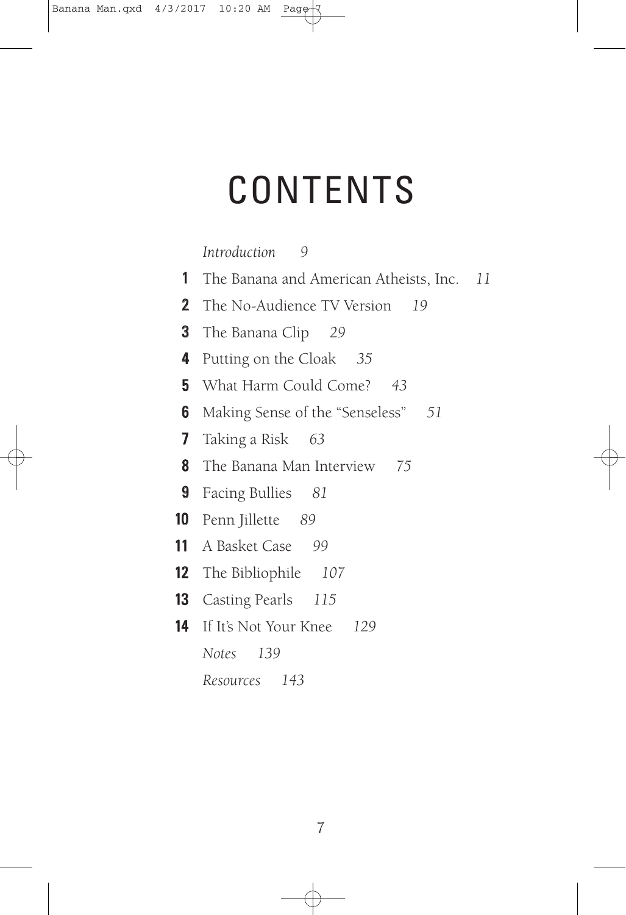## **CONTENTS**

| Introduction | 9 |
|--------------|---|
|--------------|---|

| $1 \quad$ | The Banana and American Atheists, Inc. 11 |  |
|-----------|-------------------------------------------|--|
|           | <b>2</b> The No-Audience TV Version 19    |  |
| 3         | The Banana Clip 29                        |  |
| 4         | Putting on the Cloak 35                   |  |
|           | <b>5</b> What Harm Could Come? 43         |  |
| 6         | Making Sense of the "Senseless" 51        |  |
|           | 7 Taking a Risk 63                        |  |
|           | <b>8</b> The Banana Man Interview 75      |  |
|           | 9 Facing Bullies 81                       |  |
|           | <b>10</b> Penn Jillette 89                |  |
|           | <b>11</b> A Basket Case 99                |  |
|           | <b>12</b> The Bibliophile 107             |  |
|           | <b>13</b> Casting Pearls 115              |  |
|           | <b>14</b> If It's Not Your Knee 129       |  |
|           | Notes 139                                 |  |
|           | Resources 143                             |  |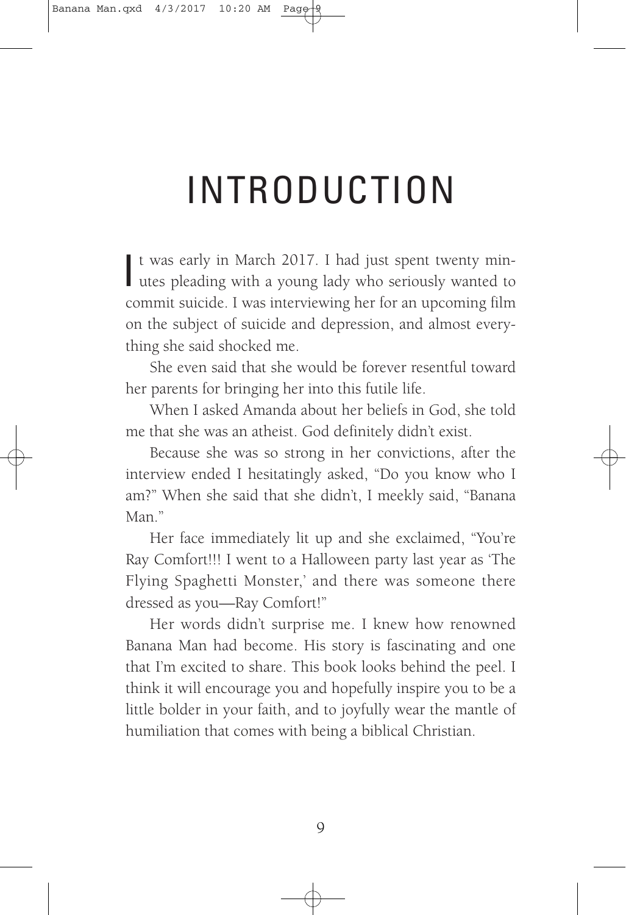# INTRODUCTION

It was early in March 2017. I had just spent twenty minutes pleading with a young lady who seriously wanted to t was early in March 2017. I had just spent twenty mincommit suicide. I was interviewing her for an upcoming film on the subject of suicide and depression, and almost everything she said shocked me.

She even said that she would be forever resentful toward her parents for bringing her into this futile life.

When I asked Amanda about her beliefs in God, she told me that she was an atheist. God definitely didn't exist.

Because she was so strong in her convictions, after the interview ended I hesitatingly asked, "Do you know who I am?" When she said that she didn't, I meekly said, "Banana Man<sup>"</sup>

Her face immediately lit up and she exclaimed, "You're Ray Comfort!!! I went to a Halloween party last year as 'The Flying Spaghetti Monster,' and there was someone there dressed as you—Ray Comfort!"

Her words didn't surprise me. I knew how renowned Banana Man had become. His story is fascinating and one that I'm excited to share. This book looks behind the peel. I think it will encourage you and hopefully inspire you to be a little bolder in your faith, and to joyfully wear the mantle of humiliation that comes with being a biblical Christian.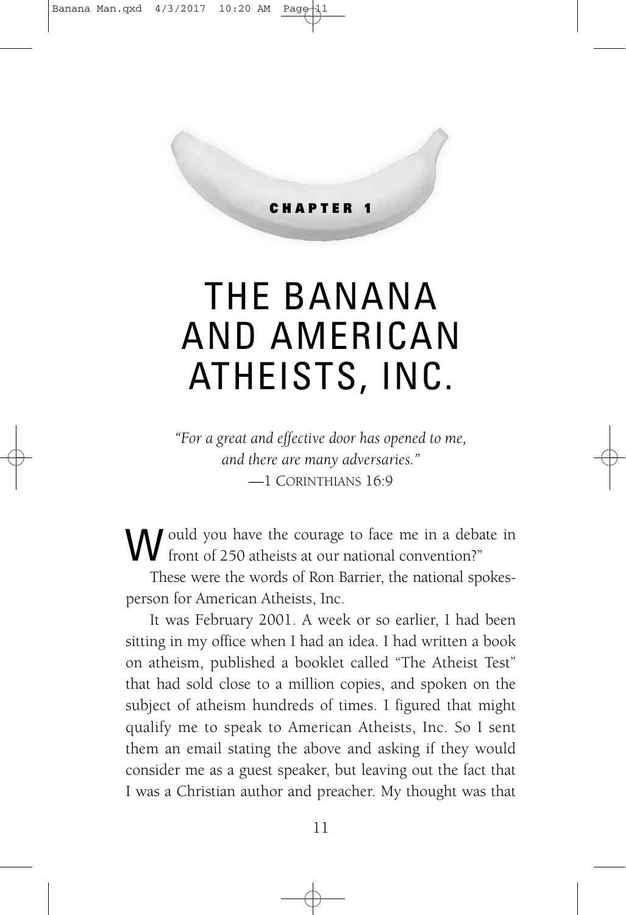#### **CHAPTER 1**

## THE BANANA AND AMERICAN ATHEISTS, INC.

*"For a great and effective door has opened to me, and there are many adversaries."* —1 CORINTHIANS 16:9

W ould you have the courage to face me in a debate in front of 250 atheists at our national convention?"

These were the words of Ron Barrier, the national spokesperson for American Atheists, Inc.

It was February 2001. A week or so earlier, I had been sitting in my office when I had an idea. I had written a book on atheism, published a booklet called "The Atheist Test" that had sold close to a million copies, and spoken on the subject of atheism hundreds of times. I figured that might qualify me to speak to American Atheists, Inc. So I sent them an email stating the above and asking if they would consider me as a guest speaker, but leaving out the fact that I was a Christian author and preacher. My thought was that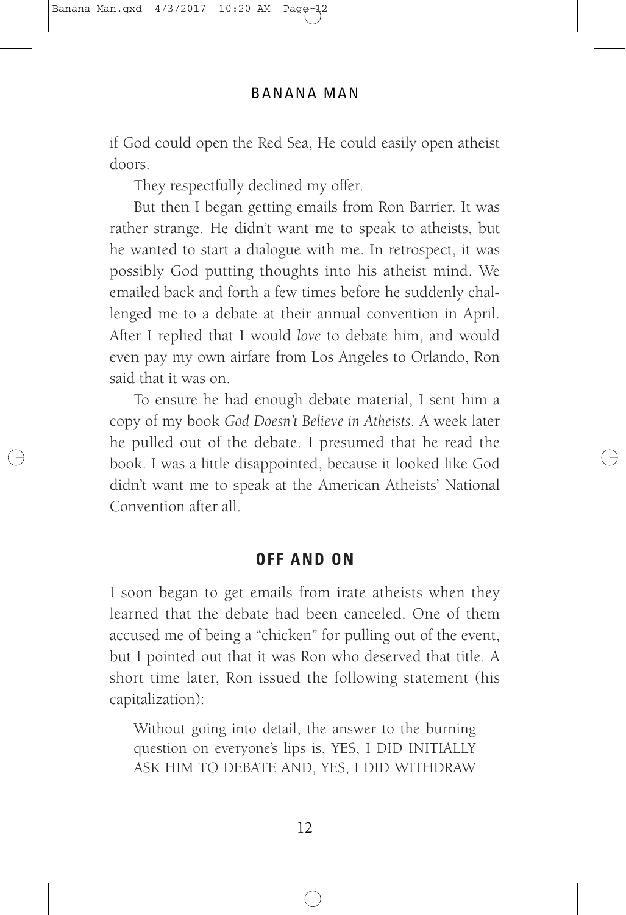if God could open the Red Sea, He could easily open atheist doors.

They respectfully declined my offer.

But then I began getting emails from Ron Barrier. It was rather strange. He didn't want me to speak to atheists, but he wanted to start a dialogue with me. In retrospect, it was possibly God putting thoughts into his atheist mind. We emailed back and forth a few times before he suddenly challenged me to a debate at their annual convention in April. After I replied that I would *love* to debate him, and would even pay my own airfare from Los Angeles to Orlando, Ron said that it was on.

To ensure he had enough debate material, I sent him a copy of my book *God Doesn't Believe in Atheists*. A week later he pulled out of the debate. I presumed that he read the book. I was a little disappointed, because it looked like God didn't want me to speak at the American Atheists' National Convention after all.

### **OFF AND ON**

I soon began to get emails from irate atheists when they learned that the debate had been canceled. One of them accused me of being a "chicken" for pulling out of the event, but I pointed out that it was Ron who deserved that title. A short time later, Ron issued the following statement (his capitalization):

Without going into detail, the answer to the burning question on everyone's lips is, YES, I DID INITIALLY ASK HIM TO DEBATE AND, YES, I DID WITHDRAW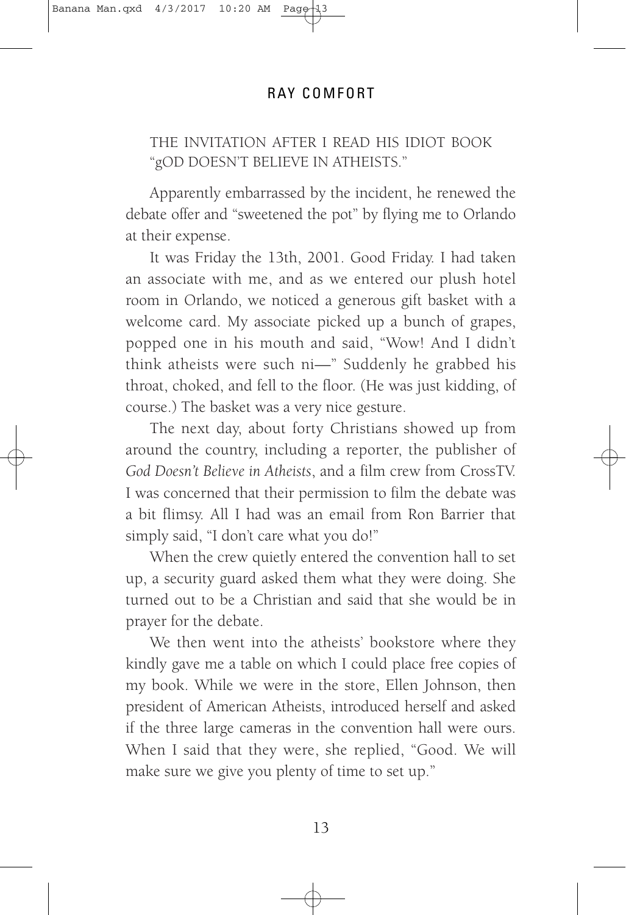### THE INVITATION AFTER I READ HIS IDIOT BOOK "gOD DOESN'T BELIEVE IN ATHEISTS."

Apparently embarrassed by the incident, he renewed the debate offer and "sweetened the pot" by flying me to Orlando at their expense.

It was Friday the 13th, 2001. Good Friday. I had taken an associate with me, and as we entered our plush hotel room in Orlando, we noticed a generous gift basket with a welcome card. My associate picked up a bunch of grapes, popped one in his mouth and said, "Wow! And I didn't think atheists were such ni—" Suddenly he grabbed his throat, choked, and fell to the floor. (He was just kidding, of course.) The basket was a very nice gesture.

The next day, about forty Christians showed up from around the country, including a reporter, the publisher of *God Doesn't Believe in Atheists*, and a film crew from CrossTV. I was concerned that their permission to film the debate was a bit flimsy. All I had was an email from Ron Barrier that simply said, "I don't care what you do!"

When the crew quietly entered the convention hall to set up, a security guard asked them what they were doing. She turned out to be a Christian and said that she would be in prayer for the debate.

We then went into the atheists' bookstore where they kindly gave me a table on which I could place free copies of my book. While we were in the store, Ellen Johnson, then president of American Atheists, introduced herself and asked if the three large cameras in the convention hall were ours. When I said that they were, she replied, "Good. We will make sure we give you plenty of time to set up."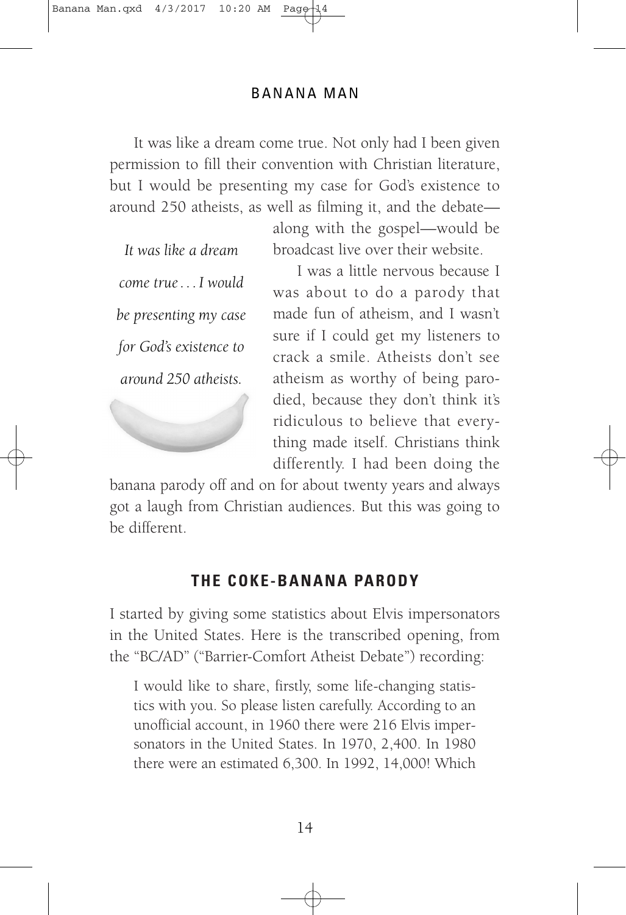It was like a dream come true. Not only had I been given permission to fill their convention with Christian literature, but I would be presenting my case for God's existence to around 250 atheists, as well as filming it, and the debate—

*It was like a dream come true . . . I would be presenting my case for God's existence to around 250 atheists.*

along with the gospel—would be broadcast live over their website.

I was a little nervous because I was about to do a parody that made fun of atheism, and I wasn't sure if I could get my listeners to crack a smile. Atheists don't see atheism as worthy of being parodied, because they don't think it's ridiculous to believe that everything made itself. Christians think differently. I had been doing the

banana parody off and on for about twenty years and always got a laugh from Christian audiences. But this was going to be different.

### **THE COKE-BANANA PARODY**

I started by giving some statistics about Elvis impersonators in the United States. Here is the transcribed opening, from the "BC/AD" ("Barrier-Comfort Atheist Debate") recording:

I would like to share, firstly, some life-changing statistics with you. So please listen carefully. According to an unofficial account, in 1960 there were 216 Elvis impersonators in the United States. In 1970, 2,400. In 1980 there were an estimated 6,300. In 1992, 14,000! Which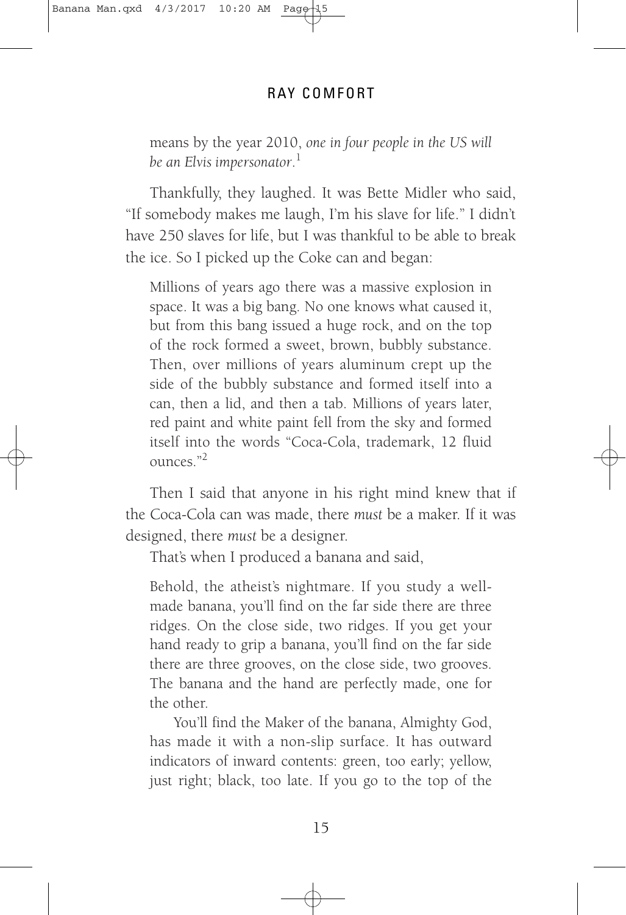means by the year 2010, *one in four people in the US will be an Elvis impersonator*. 1

Thankfully, they laughed. It was Bette Midler who said, "If somebody makes me laugh, I'm his slave for life." I didn't have 250 slaves for life, but I was thankful to be able to break the ice. So I picked up the Coke can and began:

Millions of years ago there was a massive explosion in space. It was a big bang. No one knows what caused it, but from this bang issued a huge rock, and on the top of the rock formed a sweet, brown, bubbly substance. Then, over millions of years aluminum crept up the side of the bubbly substance and formed itself into a can, then a lid, and then a tab. Millions of years later, red paint and white paint fell from the sky and formed itself into the words "Coca-Cola, trademark, 12 fluid ounces<sup>"2</sup>

Then I said that anyone in his right mind knew that if the Coca-Cola can was made, there *must* be a maker. If it was designed, there *must* be a designer.

That's when I produced a banana and said,

Behold, the atheist's nightmare. If you study a wellmade banana, you'll find on the far side there are three ridges. On the close side, two ridges. If you get your hand ready to grip a banana, you'll find on the far side there are three grooves, on the close side, two grooves. The banana and the hand are perfectly made, one for the other.

You'll find the Maker of the banana, Almighty God, has made it with a non-slip surface. It has outward indicators of inward contents: green, too early; yellow, just right; black, too late. If you go to the top of the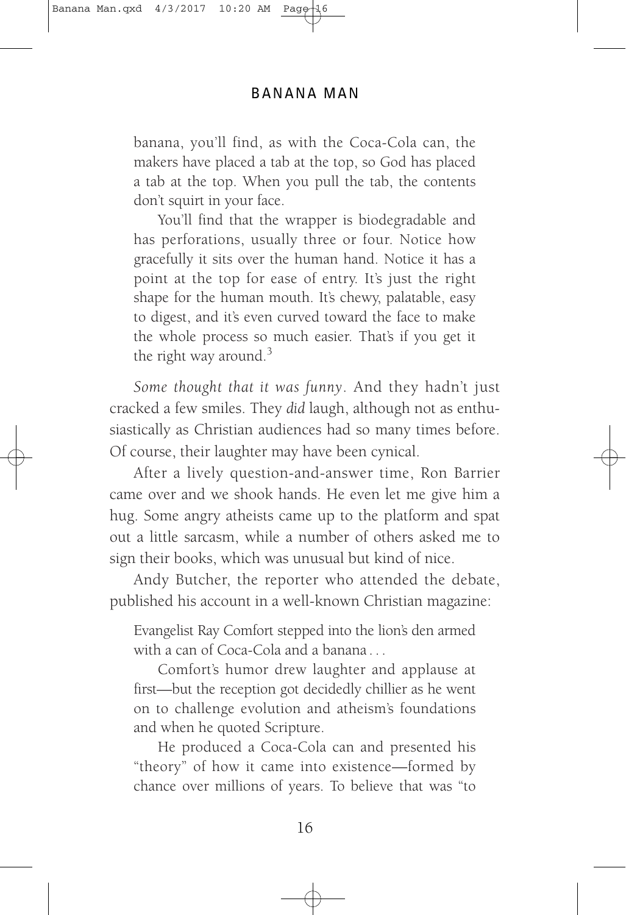banana, you'll find, as with the Coca-Cola can, the makers have placed a tab at the top, so God has placed a tab at the top. When you pull the tab, the contents don't squirt in your face.

You'll find that the wrapper is biodegradable and has perforations, usually three or four. Notice how gracefully it sits over the human hand. Notice it has a point at the top for ease of entry. It's just the right shape for the human mouth. It's chewy, palatable, easy to digest, and it's even curved toward the face to make the whole process so much easier. That's if you get it the right way around. $3$ 

*Some thought that it was funny*. And they hadn't just cracked a few smiles. They *did* laugh, although not as enthusiastically as Christian audiences had so many times before. Of course, their laughter may have been cynical.

After a lively question-and-answer time, Ron Barrier came over and we shook hands. He even let me give him a hug. Some angry atheists came up to the platform and spat out a little sarcasm, while a number of others asked me to sign their books, which was unusual but kind of nice.

Andy Butcher, the reporter who attended the debate, published his account in a well-known Christian magazine:

Evangelist Ray Comfort stepped into the lion's den armed with a can of Coca-Cola and a banana . . .

Comfort's humor drew laughter and applause at first—but the reception got decidedly chillier as he went on to challenge evolution and atheism's foundations and when he quoted Scripture.

He produced a Coca-Cola can and presented his "theory" of how it came into existence—formed by chance over millions of years. To believe that was "to